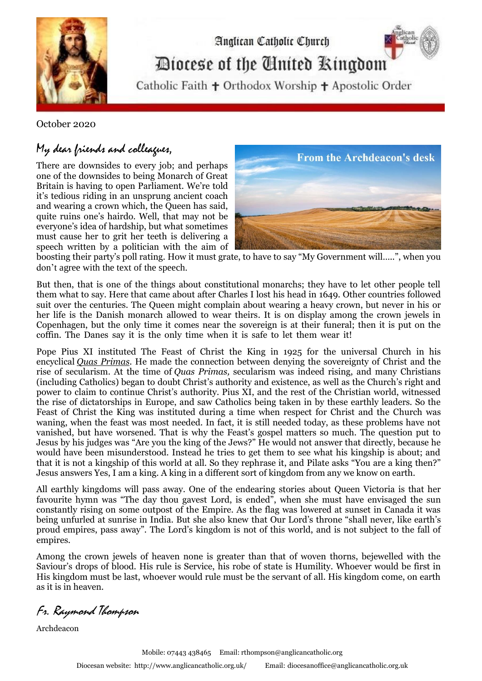

Anglican Catholic Church Diocese of the Cinited Ringdom

Catholic Faith + Orthodox Worship + Apostolic Order

October 2020

## My dear friends and colleagues,

There are downsides to every job; and perhaps one of the downsides to being Monarch of Great Britain is having to open Parliament. We're told it's tedious riding in an unsprung ancient coach and wearing a crown which, the Queen has said, quite ruins one's hairdo. Well, that may not be everyone's idea of hardship, but what sometimes must cause her to grit her teeth is delivering a speech written by a politician with the aim of



boosting their party's poll rating. How it must grate, to have to say "My Government will…..", when you don't agree with the text of the speech. .

But then, that is one of the things about constitutional monarchs; they have to let other people tell them what to say. Here that came about after Charles I lost his head in 1649. Other countries followed suit over the centuries. The Queen might complain about wearing a heavy crown, but never in his or her life is the Danish monarch allowed to wear theirs. It is on display among the crown jewels in Copenhagen, but the only time it comes near the sovereign is at their funeral; then it is put on the coffin. The Danes say it is the only time when it is safe to let them wear it!

Pope Pius XI instituted The Feast of Christ the King in 1925 for the universal Church in his encyclical *[Quas Primas.](http://www.vatican.va/holy_father/pius_xi/encyclicals/documents/hf_p-xi_enc_11121925_quas-primas_en.html)* He made the connection between denying the sovereignty of Christ and the rise of secularism. At the time of *Quas Primas,* secularism was indeed rising, and many Christians (including Catholics) began to doubt Christ's authority and existence, as well as the Church's right and power to claim to continue Christ's authority. Pius XI, and the rest of the Christian world, witnessed the rise of dictatorships in Europe, and saw Catholics being taken in by these earthly leaders. So the Feast of Christ the King was instituted during a time when respect for Christ and the Church was waning, when the feast was most needed. In fact, it is still needed today, as these problems have not vanished, but have worsened. That is why the Feast's gospel matters so much. The question put to Jesus by his judges was "Are you the king of the Jews?" He would not answer that directly, because he would have been misunderstood. Instead he tries to get them to see what his kingship is about; and that it is not a kingship of this world at all. So they rephrase it, and Pilate asks "You are a king then?" Jesus answers Yes, I am a king. A king in a different sort of kingdom from any we know on earth.

All earthly kingdoms will pass away. One of the endearing stories about Queen Victoria is that her favourite hymn was "The day thou gavest Lord, is ended", when she must have envisaged the sun constantly rising on some outpost of the Empire. As the flag was lowered at sunset in Canada it was being unfurled at sunrise in India. But she also knew that Our Lord's throne "shall never, like earth's proud empires, pass away". The Lord's kingdom is not of this world, and is not subject to the fall of empires.

Among the crown jewels of heaven none is greater than that of woven thorns, bejewelled with the Saviour's drops of blood. His rule is Service, his robe of state is Humility. Whoever would be first in His kingdom must be last, whoever would rule must be the servant of all. His kingdom come, on earth as it is in heaven.

Fr. Raymond Thompson

Archdeacon